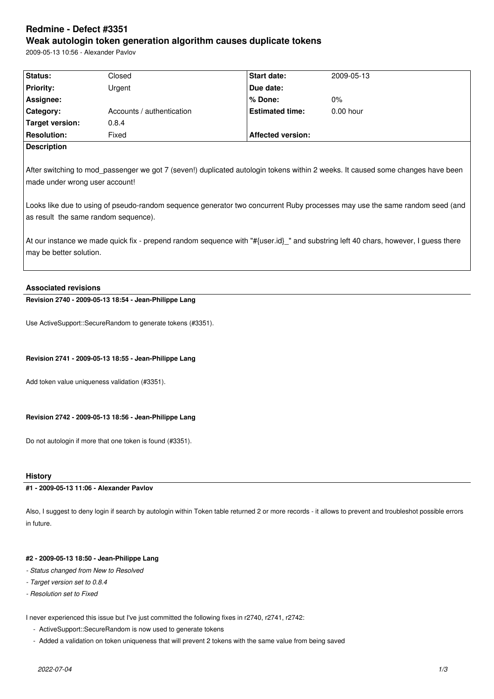# **Redmine - Defect #3351 Weak autologin token generation algorithm causes duplicate tokens**

2009-05-13 10:56 - Alexander Pavlov

| Status:                                                                                                                                                                                                                                                                                                                                                                                                                                                                                                   | Closed                    | Start date:              | 2009-05-13  |  |
|-----------------------------------------------------------------------------------------------------------------------------------------------------------------------------------------------------------------------------------------------------------------------------------------------------------------------------------------------------------------------------------------------------------------------------------------------------------------------------------------------------------|---------------------------|--------------------------|-------------|--|
| <b>Priority:</b>                                                                                                                                                                                                                                                                                                                                                                                                                                                                                          | Urgent                    | Due date:                |             |  |
| Assignee:                                                                                                                                                                                                                                                                                                                                                                                                                                                                                                 |                           | % Done:                  | $0\%$       |  |
| Category:                                                                                                                                                                                                                                                                                                                                                                                                                                                                                                 | Accounts / authentication | <b>Estimated time:</b>   | $0.00$ hour |  |
| Target version:                                                                                                                                                                                                                                                                                                                                                                                                                                                                                           | 0.8.4                     |                          |             |  |
| <b>Resolution:</b>                                                                                                                                                                                                                                                                                                                                                                                                                                                                                        | Fixed                     | <b>Affected version:</b> |             |  |
| <b>Description</b>                                                                                                                                                                                                                                                                                                                                                                                                                                                                                        |                           |                          |             |  |
| After switching to mod passenger we got 7 (seven!) duplicated autologin tokens within 2 weeks. It caused some changes have been<br>made under wrong user account!<br>Looks like due to using of pseudo-random sequence generator two concurrent Ruby processes may use the same random seed (and<br>as result the same random sequence).<br>At our instance we made quick fix - prepend random sequence with "#{user.id}_" and substring left 40 chars, however, I guess there<br>may be better solution. |                           |                          |             |  |

# **Associated revisions**

**Revision 2740 - 2009-05-13 18:54 - Jean-Philippe Lang**

Use ActiveSupport::SecureRandom to generate tokens (#3351).

### **Revision 2741 - 2009-05-13 18:55 - Jean-Philippe Lang**

Add token value uniqueness validation (#3351).

### **Revision 2742 - 2009-05-13 18:56 - Jean-Philippe Lang**

Do not autologin if more that one token is found (#3351).

# **History**

## **#1 - 2009-05-13 11:06 - Alexander Pavlov**

Also, I suggest to deny login if search by autologin within Token table returned 2 or more records - it allows to prevent and troubleshot possible errors in future.

### **#2 - 2009-05-13 18:50 - Jean-Philippe Lang**

- *Status changed from New to Resolved*
- *Target version set to 0.8.4*
- *Resolution set to Fixed*

I never experienced this issue but I've just committed the following fixes in r2740, r2741, r2742:

- ActiveSupport::SecureRandom is now used to generate tokens
- Added a validation on token uniqueness that will prevent 2 tokens with the same value from being saved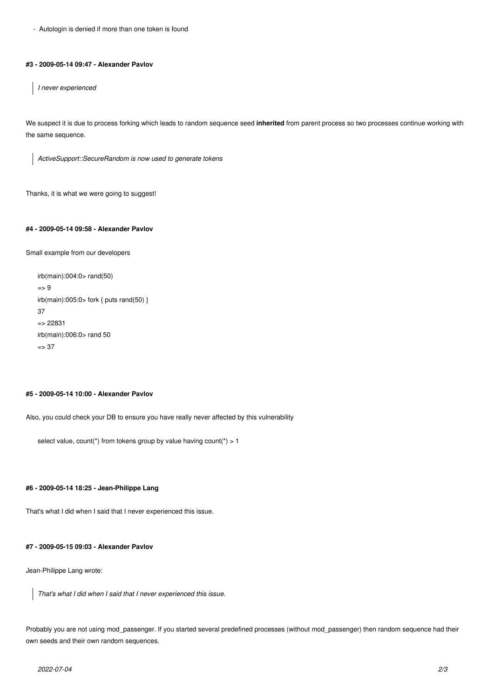- Autologin is denied if more than one token is found

#### **#3 - 2009-05-14 09:47 - Alexander Pavlov**

*I never experienced*

We suspect it is due to process forking which leads to random sequence seed **inherited** from parent process so two processes continue working with the same sequence.

*ActiveSupport::SecureRandom is now used to generate tokens*

Thanks, it is what we were going to suggest!

#### **#4 - 2009-05-14 09:58 - Alexander Pavlov**

Small example from our developers

```
irb(main):004:0> rand(50)
\Rightarrow 9
irb(main):005:0> fork { puts rand(50) }
37
=> 22831
irb(main):006:0> rand 50
\Rightarrow 37
```
#### **#5 - 2009-05-14 10:00 - Alexander Pavlov**

Also, you could check your DB to ensure you have really never affected by this vulnerability

```
select value, count(*) from tokens group by value having count(*) > 1
```
#### **#6 - 2009-05-14 18:25 - Jean-Philippe Lang**

That's what I did when I said that I never experienced this issue.

#### **#7 - 2009-05-15 09:03 - Alexander Pavlov**

Jean-Philippe Lang wrote:

*That's what I did when I said that I never experienced this issue.*

Probably you are not using mod\_passenger. If you started several predefined processes (without mod\_passenger) then random sequence had their own seeds and their own random sequences.